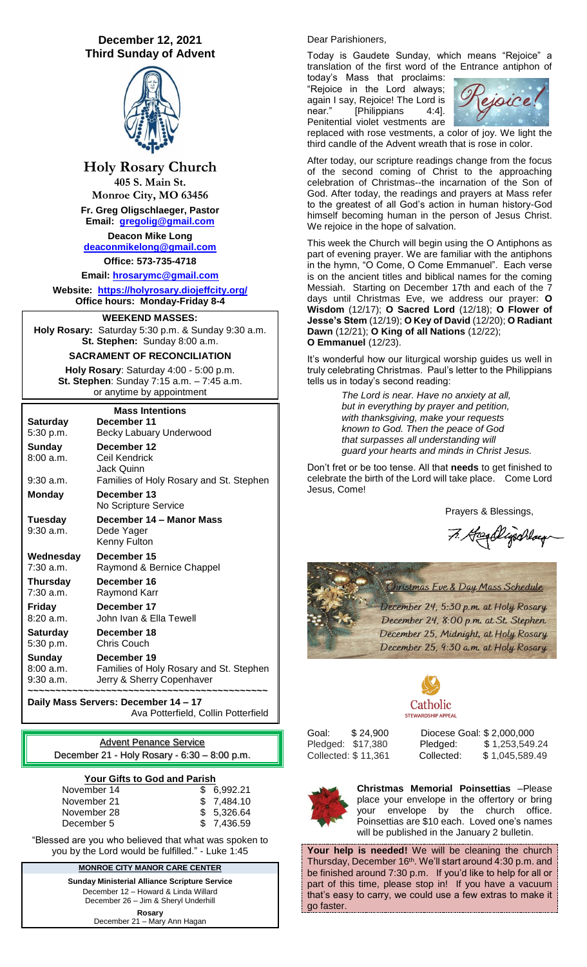# **December 12, 2021 Third Sunday of Advent**



**Holy Rosary Church 405 S. Main St. Monroe City, MO 63456 Fr. Greg Oligschlaeger, Pastor Email: [gregolig@gmail.com](mailto:gregolig@gmail.com) Deacon Mike Long [deaconmikelong@gmail.com](mailto:deaconmikelong@gmail.com) Office: 573-735-4718** 

**Email: [hrosarymc@gmail.com](mailto:hrosarymc@gmail.com) Website: <https://holyrosary.diojeffcity.org/> Office hours: Monday-Friday 8-4**

## **WEEKEND MASSES:**

**Holy Rosary:** Saturday 5:30 p.m. & Sunday 9:30 a.m. **St. Stephen:** Sunday 8:00 a.m.

### **SACRAMENT OF RECONCILIATION**

**Holy Rosary**: Saturday 4:00 - 5:00 p.m. **St. Stephen**: Sunday 7:15 a.m. – 7:45 a.m. or anytime by appointment

## **Mass Intentions**

| <b>Saturday</b>                  | December 11                                                                         |
|----------------------------------|-------------------------------------------------------------------------------------|
| 5:30 p.m.                        | Becky Labuary Underwood                                                             |
| Sunday<br>8:00 a.m.              | December 12<br>Ceil Kendrick<br>Jack Quinn                                          |
| 9:30 a.m.                        | Families of Holy Rosary and St. Stephen                                             |
| <b>Monday</b>                    | December 13<br>No Scripture Service                                                 |
| Tuesday<br>$9:30$ a.m.           | December 14 – Manor Mass<br>Dede Yager<br>Kenny Fulton                              |
| Wednesday                        | December 15                                                                         |
| $7:30$ a.m.                      | Raymond & Bernice Chappel                                                           |
| Thursday                         | December 16                                                                         |
| $7:30$ a.m.                      | Raymond Karr                                                                        |
| Friday                           | December 17                                                                         |
| 8:20a.m.                         | John Ivan & Ella Tewell                                                             |
| Saturday                         | December 18                                                                         |
| 5:30 p.m.                        | <b>Chris Couch</b>                                                                  |
| Sunday<br>8:00 a.m.<br>9:30 a.m. | December 19<br>Families of Holy Rosary and St. Stephen<br>Jerry & Sherry Copenhaver |

**Daily Mass Servers: December 14 – 17** Ava Potterfield, Collin Potterfield

Advent Penance Service December 21 - Holy Rosary - 6:30 – 8:00 p.m.

#### **Your Gifts to God and Parish**

| November 14 | \$6.992.21  |
|-------------|-------------|
| November 21 | \$7.484.10  |
| November 28 | \$5.326.64  |
| December 5  | \$ 7.436.59 |

"Blessed are you who believed that what was spoken to you by the Lord would be fulfilled." - Luke 1:45

#### **MONROE CITY MANOR CARE CENTER**

**Sunday Ministerial Alliance Scripture Service** December 12 – Howard & Linda Willard December 26 – Jim & Sheryl Underhill **Rosary** December 21 – Mary Ann Hagan

#### Dear Parishioners,

Today is Gaudete Sunday, which means "Rejoice" a translation of the first word of the Entrance antiphon of

today's Mass that proclaims: "Rejoice in the Lord always; again I say, Rejoice! The Lord is<br>near." [Philippians 4:41 [Philippians 4:4]. Penitential violet vestments are



replaced with rose vestments, a color of joy. We light the third candle of the Advent wreath that is rose in color.

After today, our scripture readings change from the focus of the second coming of Christ to the approaching celebration of Christmas--the incarnation of the Son of God. After today, the readings and prayers at Mass refer to the greatest of all God's action in human history-God himself becoming human in the person of Jesus Christ. We rejoice in the hope of salvation.

This week the Church will begin using the O Antiphons as part of evening prayer. We are familiar with the antiphons in the hymn, "O Come, O Come Emmanuel". Each verse is on the ancient titles and biblical names for the coming Messiah. Starting on December 17th and each of the 7 days until Christmas Eve, we address our prayer: **O Wisdom** (12/17); **O Sacred Lord** (12/18); **O Flower of Jesse's Stem** (12/19); **O Key of David** (12/20); **O Radiant Dawn** (12/21); **O King of all Nations** (12/22); **O Emmanuel** (12/23).

It's wonderful how our liturgical worship guides us well in truly celebrating Christmas. Paul's letter to the Philippians tells us in today's second reading:

> *The Lord is near. Have no anxiety at all, but in everything by prayer and petition, with thanksgiving, make your requests known to God. Then the peace of God that surpasses all understanding will guard your hearts and minds in Christ Jesus.*

Don't fret or be too tense. All that **needs** to get finished to celebrate the birth of the Lord will take place. Come Lord Jesus, Come!

Prayers & Blessings,

7. Hegelligschlag





Goal: \$ 24,900 Diocese Goal: \$ 2,000,000 Pledged: \$17,380 Pledged: \$ 1,253,549.24 Collected: \$ 11,361 Collected: \$ 1,045,589.49



**Christmas Memorial Poinsettias** –Please place your envelope in the offertory or bring your envelope by the church office. Poinsettias are \$10 each. Loved one's names will be published in the January 2 bulletin.

**Your help is needed!** We will be cleaning the church Thursday, December 16<sup>th</sup>. We'll start around 4:30 p.m. and be finished around 7:30 p.m. If you'd like to help for all or part of this time, please stop in! If you have a vacuum that's easy to carry, we could use a few extras to make it go faster.